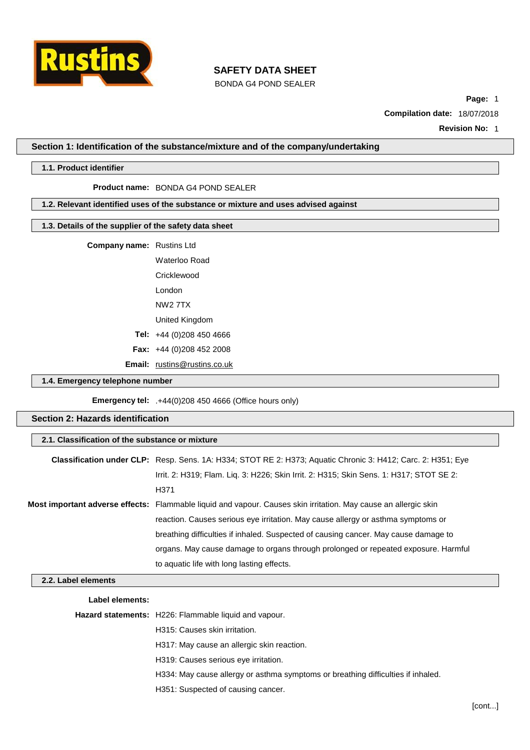

BONDA G4 POND SEALER

**Page:** 1

**Compilation date:** 18/07/2018

**Revision No:** 1

**Section 1: Identification of the substance/mixture and of the company/undertaking**

### **1.1. Product identifier**

#### **Product name:** BONDA G4 POND SEALER

### **1.2. Relevant identified uses of the substance or mixture and uses advised against**

### **1.3. Details of the supplier of the safety data sheet**

| <b>Company name:</b> Rustins Ltd |                      |  |
|----------------------------------|----------------------|--|
|                                  | <b>Waterloo Road</b> |  |

| Cricklewood                    |  |
|--------------------------------|--|
| l ondon                        |  |
| NW2 7TX                        |  |
| United Kingdom                 |  |
| <b>Tel:</b> $+44(0)2084504666$ |  |
| Fax: $+44$ (0)208 452 2008     |  |
|                                |  |

**Email:** [rustins@rustins.co.uk](mailto:rustins@rustins.co.uk)

### **1.4. Emergency telephone number**

**Emergency tel:** .+44(0)208 450 4666 (Office hours only)

## **Section 2: Hazards identification**

### **2.1. Classification of the substance or mixture**

| <b>Classification under CLP:</b> Resp. Sens. 1A: H334; STOT RE 2: H373; Aquatic Chronic 3: H412; Carc. 2: H351; Eye |
|---------------------------------------------------------------------------------------------------------------------|
| Irrit. 2: H319; Flam. Liq. 3: H226; Skin Irrit. 2: H315; Skin Sens. 1: H317; STOT SE 2:                             |
| H371                                                                                                                |
| Most important adverse effects: Flammable liquid and vapour. Causes skin irritation. May cause an allergic skin     |
| reaction. Causes serious eye irritation. May cause allergy or asthma symptoms or                                    |
| breathing difficulties if inhaled. Suspected of causing cancer. May cause damage to                                 |
| organs. May cause damage to organs through prolonged or repeated exposure. Harmful                                  |
| to aquatic life with long lasting effects.                                                                          |

## **2.2. Label elements**

**Label elements:**

**Hazard statements:** H226: Flammable liquid and vapour.

H315: Causes skin irritation.

H317: May cause an allergic skin reaction.

H319: Causes serious eye irritation.

H334: May cause allergy or asthma symptoms or breathing difficulties if inhaled.

H351: Suspected of causing cancer.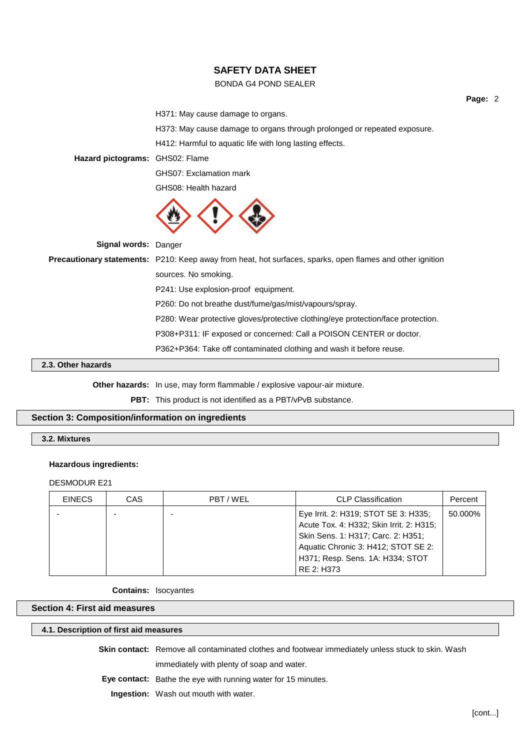## BONDA G4 POND SEALER

H371: May cause damage to organs.

H373: May cause damage to organs through prolonged or repeated exposure.

H412: Harmful to aquatic life with long lasting effects.

**Hazard pictograms:** GHS02: Flame

GHS07: Exclamation mark

GHS08: Health hazard



**Signal words:** Danger

**Precautionary statements:** P210: Keep away from heat, hot surfaces, sparks, open flames and other ignition sources. No smoking. P241: Use explosion-proof equipment. P260: Do not breathe dust/fume/gas/mist/vapours/spray. P280: Wear protective gloves/protective clothing/eye protection/face protection. P308+P311: IF exposed or concerned: Call a POISON CENTER or doctor. P362+P364: Take off contaminated clothing and wash it before reuse.

## **2.3. Other hazards**

**Other hazards:** In use, may form flammable / explosive vapour-air mixture.

PBT: This product is not identified as a PBT/vPvB substance.

## **Section 3: Composition/information on ingredients**

**3.2. Mixtures**

#### **Hazardous ingredients:**

DESMODUR E21

| <b>EINECS</b> | CAS | PBT/WEL | <b>CLP Classification</b>                | Percent |
|---------------|-----|---------|------------------------------------------|---------|
|               |     |         | Eye Irrit. 2: H319; STOT SE 3: H335;     | 50.000% |
|               |     |         | Acute Tox. 4: H332; Skin Irrit. 2: H315; |         |
|               |     |         | Skin Sens. 1: H317; Carc. 2: H351;       |         |
|               |     |         | Aquatic Chronic 3: H412; STOT SE 2:      |         |
|               |     |         | H371; Resp. Sens. 1A: H334; STOT         |         |
|               |     |         | RE 2: H373                               |         |

**Contains:** Isocyantes

### **Section 4: First aid measures**

## **4.1. Description of first aid measures**

**Skin contact:** Remove all contaminated clothes and footwear immediately unless stuck to skin. Wash

immediately with plenty of soap and water.

**Eye contact:** Bathe the eye with running water for 15 minutes.

**Ingestion:** Wash out mouth with water.

**Page:** 2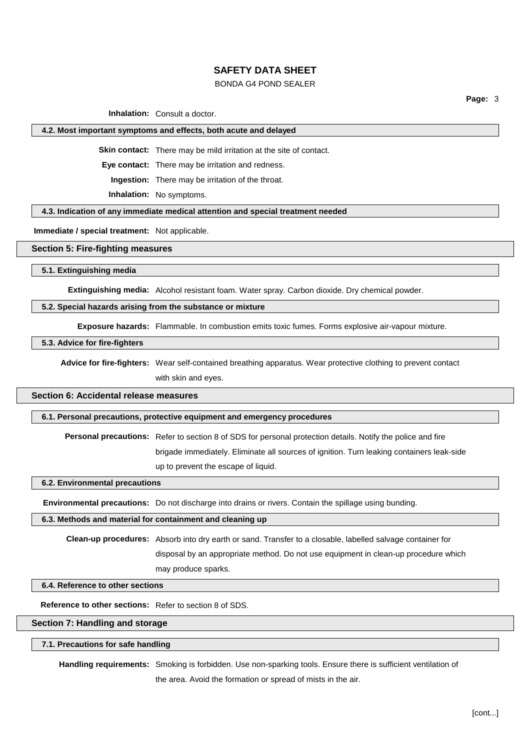## BONDA G4 POND SEALER

**Page:** 3

**Inhalation:** Consult a doctor.

#### **4.2. Most important symptoms and effects, both acute and delayed**

**Skin contact:** There may be mild irritation at the site of contact.

**Eye contact:** There may be irritation and redness.

**Ingestion:** There may be irritation of the throat.

**Inhalation:** No symptoms.

#### **4.3. Indication of any immediate medical attention and special treatment needed**

**Immediate / special treatment:** Not applicable.

## **Section 5: Fire-fighting measures**

**5.1. Extinguishing media**

**Extinguishing media:** Alcohol resistant foam. Water spray. Carbon dioxide. Dry chemical powder.

## **5.2. Special hazards arising from the substance or mixture**

**Exposure hazards:** Flammable. In combustion emits toxic fumes. Forms explosive air-vapour mixture.

## **5.3. Advice for fire-fighters**

**Advice for fire-fighters:** Wear self-contained breathing apparatus. Wear protective clothing to prevent contact with skin and eyes.

## **Section 6: Accidental release measures**

#### **6.1. Personal precautions, protective equipment and emergency procedures**

**Personal precautions:** Refer to section 8 of SDS for personal protection details. Notify the police and fire

brigade immediately. Eliminate all sources of ignition. Turn leaking containers leak-side up to prevent the escape of liquid.

**6.2. Environmental precautions**

**Environmental precautions:** Do not discharge into drains or rivers. Contain the spillage using bunding.

#### **6.3. Methods and material for containment and cleaning up**

**Clean-up procedures:** Absorb into dry earth or sand. Transfer to a closable, labelled salvage container for disposal by an appropriate method. Do not use equipment in clean-up procedure which may produce sparks.

## **6.4. Reference to other sections**

**Reference to other sections:** Refer to section 8 of SDS.

**Section 7: Handling and storage**

### **7.1. Precautions for safe handling**

**Handling requirements:** Smoking is forbidden. Use non-sparking tools. Ensure there is sufficient ventilation of

the area. Avoid the formation or spread of mists in the air.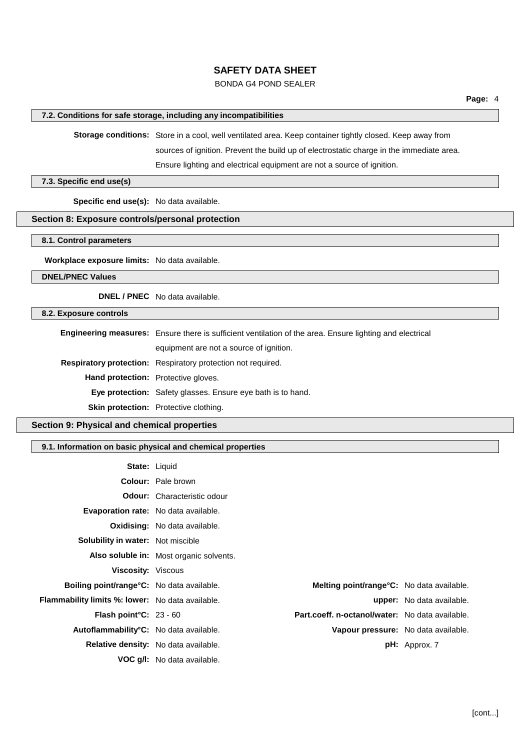## BONDA G4 POND SEALER

### **7.2. Conditions for safe storage, including any incompatibilities**

**Storage conditions:** Store in a cool, well ventilated area. Keep container tightly closed. Keep away from

sources of ignition. Prevent the build up of electrostatic charge in the immediate area.

Ensure lighting and electrical equipment are not a source of ignition.

### **7.3. Specific end use(s)**

**Specific end use(s):** No data available.

## **Section 8: Exposure controls/personal protection**

**8.1. Control parameters**

**Workplace exposure limits:** No data available.

**DNEL/PNEC Values**

**DNEL / PNEC** No data available.

## **8.2. Exposure controls**

**Engineering measures:** Ensure there is sufficient ventilation of the area. Ensure lighting and electrical

equipment are not a source of ignition.

**Respiratory protection:** Respiratory protection not required.

**Hand protection:** Protective gloves.

**Eye protection:** Safety glasses. Ensure eye bath is to hand.

**Skin protection:** Protective clothing.

## **Section 9: Physical and chemical properties**

#### **9.1. Information on basic physical and chemical properties**

|                                                         | <b>State: Liquid</b>                              |                                     |
|---------------------------------------------------------|---------------------------------------------------|-------------------------------------|
|                                                         | <b>Colour:</b> Pale brown                         |                                     |
|                                                         | <b>Odour:</b> Characteristic odour                |                                     |
|                                                         | <b>Evaporation rate:</b> No data available.       |                                     |
|                                                         | <b>Oxidising:</b> No data available.              |                                     |
| <b>Solubility in water:</b> Not miscible                |                                                   |                                     |
|                                                         | <b>Also soluble in:</b> Most organic solvents.    |                                     |
| <b>Viscosity: Viscous</b>                               |                                                   |                                     |
| <b>Boiling point/range °C:</b> No data available.       | <b>Melting point/range °C:</b> No data available. |                                     |
| <b>Flammability limits %: lower:</b> No data available. |                                                   | <b>upper:</b> No data available.    |
| <b>Flash point °C:</b> 23 - 60                          | Part.coeff. n-octanol/water: No data available.   |                                     |
| Autoflammability°C: No data available.                  |                                                   | Vapour pressure: No data available. |
|                                                         | <b>Relative density:</b> No data available.       | $pH:$ Approx. 7                     |
|                                                         | <b>VOC q/I:</b> No data available.                |                                     |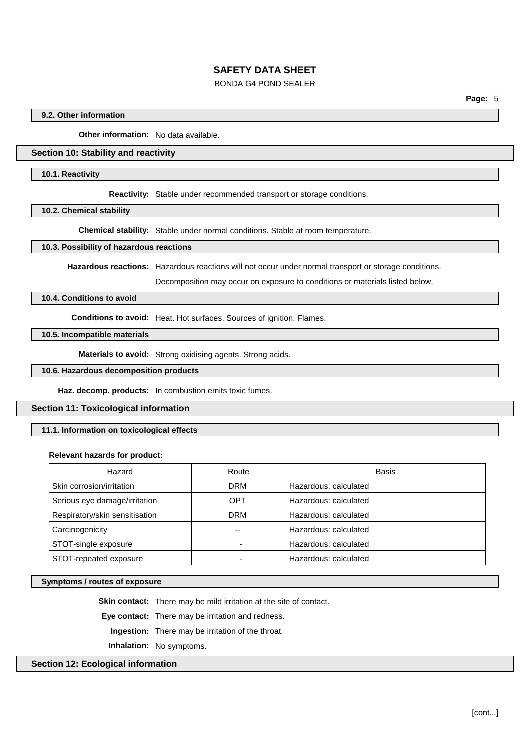## BONDA G4 POND SEALER

**Page:** 5

### **9.2. Other information**

**Other information:** No data available.

### **Section 10: Stability and reactivity**

#### **10.1. Reactivity**

**Reactivity:** Stable under recommended transport or storage conditions.

**10.2. Chemical stability**

**Chemical stability:** Stable under normal conditions. Stable at room temperature.

#### **10.3. Possibility of hazardous reactions**

**Hazardous reactions:** Hazardous reactions will not occur under normal transport or storage conditions.

Decomposition may occur on exposure to conditions or materials listed below.

## **10.4. Conditions to avoid**

**Conditions to avoid:** Heat. Hot surfaces. Sources of ignition. Flames.

## **10.5. Incompatible materials**

**Materials to avoid:** Strong oxidising agents. Strong acids.

### **10.6. Hazardous decomposition products**

**Haz. decomp. products:** In combustion emits toxic fumes.

#### **Section 11: Toxicological information**

#### **11.1. Information on toxicological effects**

#### **Relevant hazards for product:**

| Hazard                         | Route                    | Basis                 |
|--------------------------------|--------------------------|-----------------------|
| Skin corrosion/irritation      | <b>DRM</b>               | Hazardous: calculated |
| Serious eye damage/irritation  | <b>OPT</b>               | Hazardous: calculated |
| Respiratory/skin sensitisation | DRM                      | Hazardous: calculated |
| Carcinogenicity                |                          | Hazardous: calculated |
| STOT-single exposure           |                          | Hazardous: calculated |
| STOT-repeated exposure         | $\overline{\phantom{0}}$ | Hazardous: calculated |

#### **Symptoms / routes of exposure**

**Skin contact:** There may be mild irritation at the site of contact.

**Eye contact:** There may be irritation and redness.

**Ingestion:** There may be irritation of the throat.

**Inhalation:** No symptoms.

#### **Section 12: Ecological information**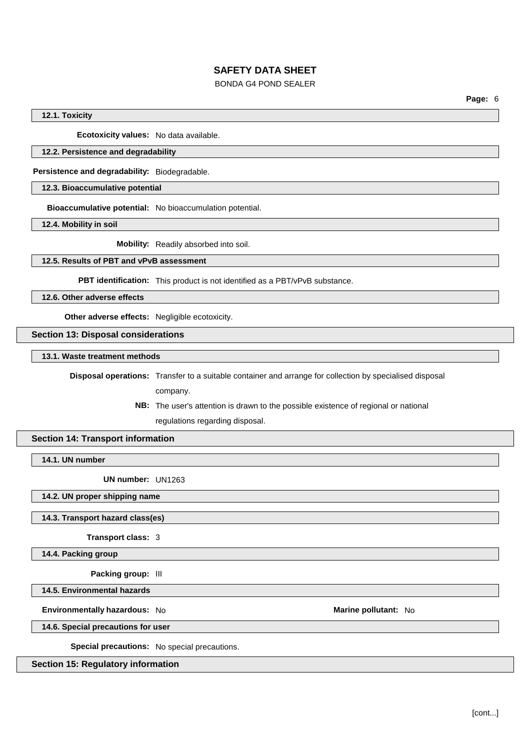## BONDA G4 POND SEALER

**Page:** 6

## **12.1. Toxicity**

**Ecotoxicity values:** No data available.

## **12.2. Persistence and degradability**

**Persistence and degradability:** Biodegradable.

## **12.3. Bioaccumulative potential**

**Bioaccumulative potential:** No bioaccumulation potential.

**12.4. Mobility in soil**

**Mobility:** Readily absorbed into soil.

## **12.5. Results of PBT and vPvB assessment**

**PBT identification:** This product is not identified as a PBT/vPvB substance.

**12.6. Other adverse effects**

**Other adverse effects:** Negligible ecotoxicity.

**Section 13: Disposal considerations**

**13.1. Waste treatment methods**

**Disposal operations:** Transfer to a suitable container and arrange for collection by specialised disposal

company.

**NB:** The user's attention is drawn to the possible existence of regional or national regulations regarding disposal.

## **Section 14: Transport information**

**14.1. UN number**

**UN number:** UN1263

# **14.2. UN proper shipping name**

**14.3. Transport hazard class(es)**

**Transport class:** 3

**14.4. Packing group**

**Packing group:** III

**14.5. Environmental hazards**

**Environmentally hazardous:** No **Marine pollutant:** No

**14.6. Special precautions for user**

**Special precautions:** No special precautions.

**Section 15: Regulatory information**